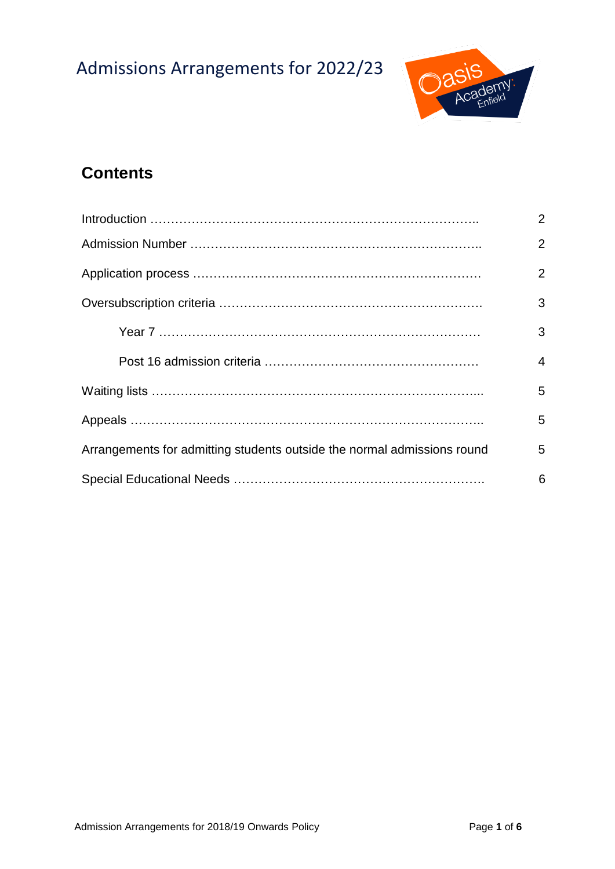# Admissions Arrangements for 2022/23



# **Contents**

|                                                                         | $\overline{2}$ |
|-------------------------------------------------------------------------|----------------|
|                                                                         | $\overline{2}$ |
|                                                                         | $\overline{2}$ |
|                                                                         | 3              |
|                                                                         | 3              |
|                                                                         | $\overline{4}$ |
|                                                                         | 5              |
|                                                                         | 5              |
| Arrangements for admitting students outside the normal admissions round | 5              |
|                                                                         | 6              |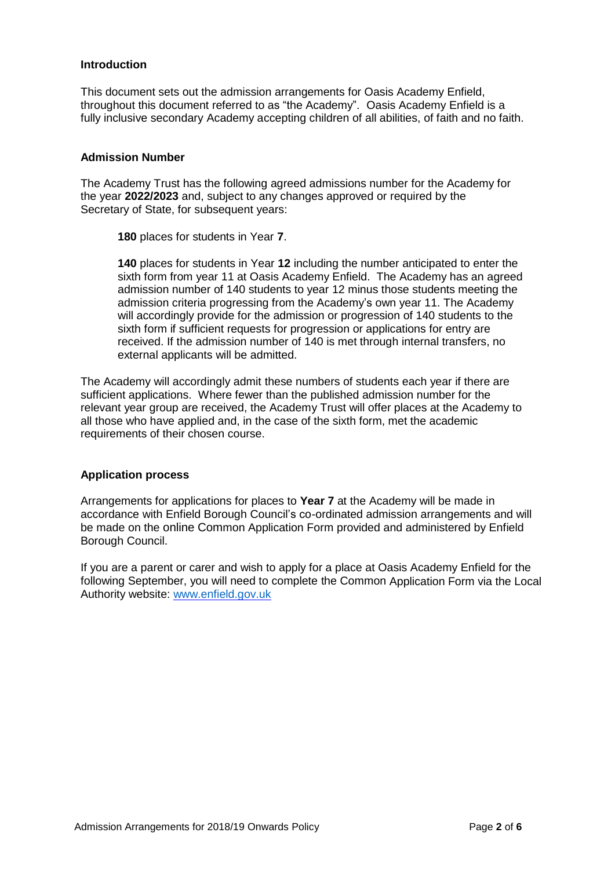#### **Introduction**

This document sets out the admission arrangements for Oasis Academy Enfield, throughout this document referred to as "the Academy". Oasis Academy Enfield is a fully inclusive secondary Academy accepting children of all abilities, of faith and no faith.

#### **Admission Number**

The Academy Trust has the following agreed admissions number for the Academy for the year **2022/2023** and, subject to any changes approved or required by the Secretary of State, for subsequent years:

**180** places for students in Year **7**.

**140** places for students in Year **12** including the number anticipated to enter the sixth form from year 11 at Oasis Academy Enfield. The Academy has an agreed admission number of 140 students to year 12 minus those students meeting the admission criteria progressing from the Academy's own year 11. The Academy will accordingly provide for the admission or progression of 140 students to the sixth form if sufficient requests for progression or applications for entry are received. If the admission number of 140 is met through internal transfers, no external applicants will be admitted.

The Academy will accordingly admit these numbers of students each year if there are sufficient applications. Where fewer than the published admission number for the relevant year group are received, the Academy Trust will offer places at the Academy to all those who have applied and, in the case of the sixth form, met the academic requirements of their chosen course.

#### **Application process**

Arrangements for applications for places to **Year 7** at the Academy will be made in accordance with Enfield Borough Council's co-ordinated admission arrangements and will be made on the online Common Application Form provided and administered by Enfield Borough Council.

If you are a parent or carer and wish to apply for a place at Oasis Academy Enfield for the following September, you will need to complete the Common Application Form via the Local Authority website: [www.enfield.gov.uk](http://www.enfield.gov.uk/)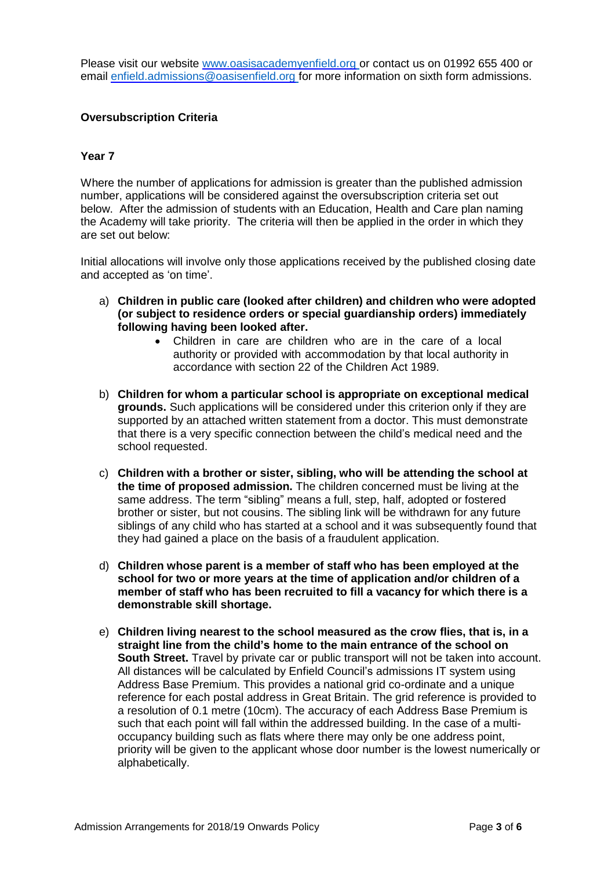Please visit our website www.oasisacademyenfield.org or contact us on 01992 655 400 or email [enfield.admissions@oasisenfield.org](mailto:enfield.admissions@oasisenfield.org) for more information on sixth form admissions.

#### **Oversubscription Criteria**

#### **Year 7**

Where the number of applications for admission is greater than the published admission number, applications will be considered against the oversubscription criteria set out below. After the admission of students with an Education, Health and Care plan naming the Academy will take priority. The criteria will then be applied in the order in which they are set out below:

Initial allocations will involve only those applications received by the published closing date and accepted as 'on time'.

- a) **Children in public care (looked after children) and children who were adopted (or subject to residence orders or special guardianship orders) immediately following having been looked after.**
	- Children in care are children who are in the care of a local authority or provided with accommodation by that local authority in accordance with section 22 of the Children Act 1989.
- b) **Children for whom a particular school is appropriate on exceptional medical grounds.** Such applications will be considered under this criterion only if they are supported by an attached written statement from a doctor. This must demonstrate that there is a very specific connection between the child's medical need and the school requested.
- c) **Children with a brother or sister, sibling, who will be attending the school at the time of proposed admission.** The children concerned must be living at the same address. The term "sibling" means a full, step, half, adopted or fostered brother or sister, but not cousins. The sibling link will be withdrawn for any future siblings of any child who has started at a school and it was subsequently found that they had gained a place on the basis of a fraudulent application.
- d) **Children whose parent is a member of staff who has been employed at the school for two or more years at the time of application and/or children of a member of staff who has been recruited to fill a vacancy for which there is a demonstrable skill shortage.**
- e) **Children living nearest to the school measured as the crow flies, that is, in a straight line from the child's home to the main entrance of the school on South Street.** Travel by private car or public transport will not be taken into account. All distances will be calculated by Enfield Council's admissions IT system using Address Base Premium. This provides a national grid co-ordinate and a unique reference for each postal address in Great Britain. The grid reference is provided to a resolution of 0.1 metre (10cm). The accuracy of each Address Base Premium is such that each point will fall within the addressed building. In the case of a multioccupancy building such as flats where there may only be one address point, priority will be given to the applicant whose door number is the lowest numerically or alphabetically.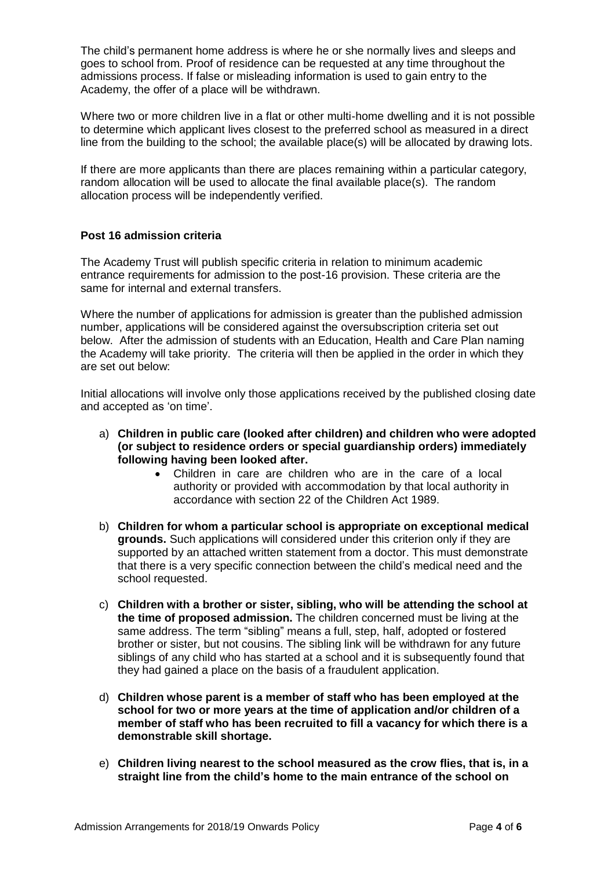The child's permanent home address is where he or she normally lives and sleeps and goes to school from. Proof of residence can be requested at any time throughout the admissions process. If false or misleading information is used to gain entry to the Academy, the offer of a place will be withdrawn.

Where two or more children live in a flat or other multi-home dwelling and it is not possible to determine which applicant lives closest to the preferred school as measured in a direct line from the building to the school; the available place(s) will be allocated by drawing lots.

If there are more applicants than there are places remaining within a particular category, random allocation will be used to allocate the final available place(s). The random allocation process will be independently verified.

# **Post 16 admission criteria**

The Academy Trust will publish specific criteria in relation to minimum academic entrance requirements for admission to the post-16 provision. These criteria are the same for internal and external transfers.

Where the number of applications for admission is greater than the published admission number, applications will be considered against the oversubscription criteria set out below. After the admission of students with an Education, Health and Care Plan naming the Academy will take priority. The criteria will then be applied in the order in which they are set out below:

Initial allocations will involve only those applications received by the published closing date and accepted as 'on time'.

- a) **Children in public care (looked after children) and children who were adopted (or subject to residence orders or special guardianship orders) immediately following having been looked after.**
	- Children in care are children who are in the care of a local authority or provided with accommodation by that local authority in accordance with section 22 of the Children Act 1989.
- b) **Children for whom a particular school is appropriate on exceptional medical grounds.** Such applications will considered under this criterion only if they are supported by an attached written statement from a doctor. This must demonstrate that there is a very specific connection between the child's medical need and the school requested.
- c) **Children with a brother or sister, sibling, who will be attending the school at the time of proposed admission.** The children concerned must be living at the same address. The term "sibling" means a full, step, half, adopted or fostered brother or sister, but not cousins. The sibling link will be withdrawn for any future siblings of any child who has started at a school and it is subsequently found that they had gained a place on the basis of a fraudulent application.
- d) **Children whose parent is a member of staff who has been employed at the school for two or more years at the time of application and/or children of a member of staff who has been recruited to fill a vacancy for which there is a demonstrable skill shortage.**
- e) **Children living nearest to the school measured as the crow flies, that is, in a straight line from the child's home to the main entrance of the school on**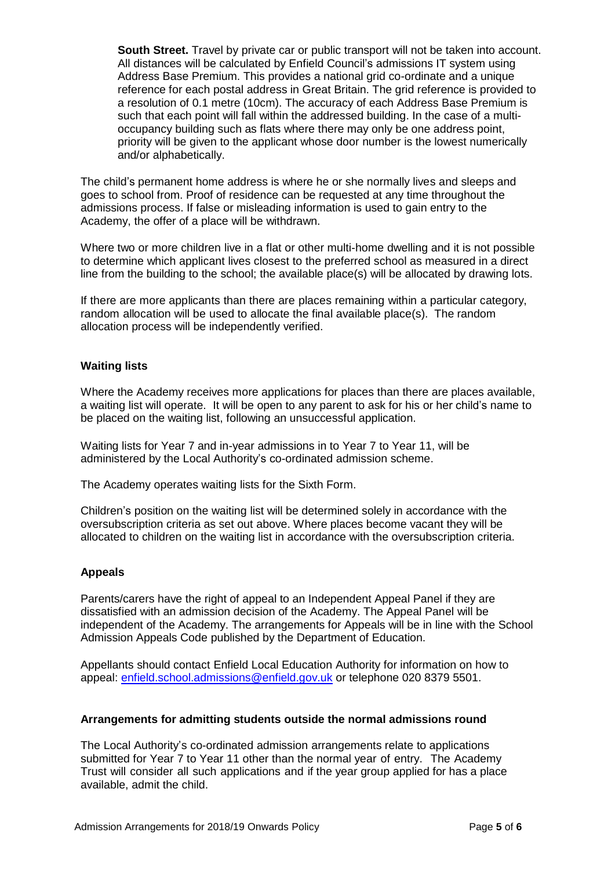**South Street.** Travel by private car or public transport will not be taken into account. All distances will be calculated by Enfield Council's admissions IT system using Address Base Premium. This provides a national grid co-ordinate and a unique reference for each postal address in Great Britain. The grid reference is provided to a resolution of 0.1 metre (10cm). The accuracy of each Address Base Premium is such that each point will fall within the addressed building. In the case of a multioccupancy building such as flats where there may only be one address point, priority will be given to the applicant whose door number is the lowest numerically and/or alphabetically.

The child's permanent home address is where he or she normally lives and sleeps and goes to school from. Proof of residence can be requested at any time throughout the admissions process. If false or misleading information is used to gain entry to the Academy, the offer of a place will be withdrawn.

Where two or more children live in a flat or other multi-home dwelling and it is not possible to determine which applicant lives closest to the preferred school as measured in a direct line from the building to the school; the available place(s) will be allocated by drawing lots.

If there are more applicants than there are places remaining within a particular category, random allocation will be used to allocate the final available place(s). The random allocation process will be independently verified.

# **Waiting lists**

Where the Academy receives more applications for places than there are places available, a waiting list will operate. It will be open to any parent to ask for his or her child's name to be placed on the waiting list, following an unsuccessful application.

Waiting lists for Year 7 and in-year admissions in to Year 7 to Year 11, will be administered by the Local Authority's co-ordinated admission scheme.

The Academy operates waiting lists for the Sixth Form.

Children's position on the waiting list will be determined solely in accordance with the oversubscription criteria as set out above. Where places become vacant they will be allocated to children on the waiting list in accordance with the oversubscription criteria.

# **Appeals**

Parents/carers have the right of appeal to an Independent Appeal Panel if they are dissatisfied with an admission decision of the Academy. The Appeal Panel will be independent of the Academy. The arrangements for Appeals will be in line with the School Admission Appeals Code published by the Department of Education.

Appellants should contact Enfield Local Education Authority for information on how to appeal: [enfield.school.admissions@enfield.gov.uk](mailto:enfield.school.admissions@enfield.gov.uk) or telephone 020 8379 5501.

#### **Arrangements for admitting students outside the normal admissions round**

The Local Authority's co-ordinated admission arrangements relate to applications submitted for Year 7 to Year 11 other than the normal year of entry. The Academy Trust will consider all such applications and if the year group applied for has a place available, admit the child.